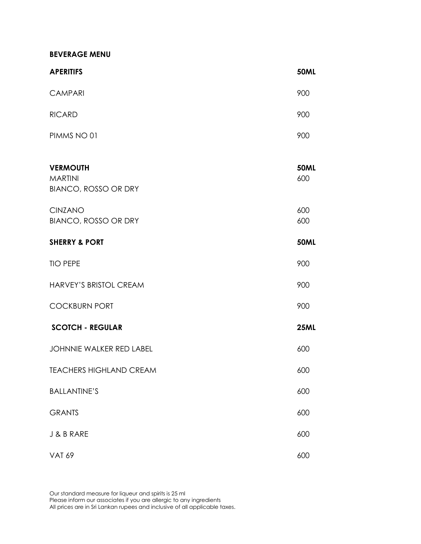**BEVERAGE MENU**

| <b>APERITIFS</b>                                                 | <b>50ML</b>        |
|------------------------------------------------------------------|--------------------|
| <b>CAMPARI</b>                                                   | 900                |
| <b>RICARD</b>                                                    | 900                |
| PIMMS NO 01                                                      | 900                |
| <b>VERMOUTH</b><br><b>MARTINI</b><br><b>BIANCO, ROSSO OR DRY</b> | <b>50ML</b><br>600 |
| <b>CINZANO</b><br><b>BIANCO, ROSSO OR DRY</b>                    | 600<br>600         |
| <b>SHERRY &amp; PORT</b>                                         | <b>50ML</b>        |
| <b>TIO PEPE</b>                                                  | 900                |
| HARVEY'S BRISTOL CREAM                                           | 900                |
| <b>COCKBURN PORT</b>                                             | 900                |
| <b>SCOTCH - REGULAR</b>                                          | <b>25ML</b>        |
| <b>JOHNNIE WALKER RED LABEL</b>                                  | 600                |
| <b>TEACHERS HIGHLAND CREAM</b>                                   | 600                |
| <b>BALLANTINE'S</b>                                              | 600                |
| <b>GRANTS</b>                                                    | 600                |
| J & B RARE                                                       | 600                |
| <b>VAT 69</b>                                                    | 600                |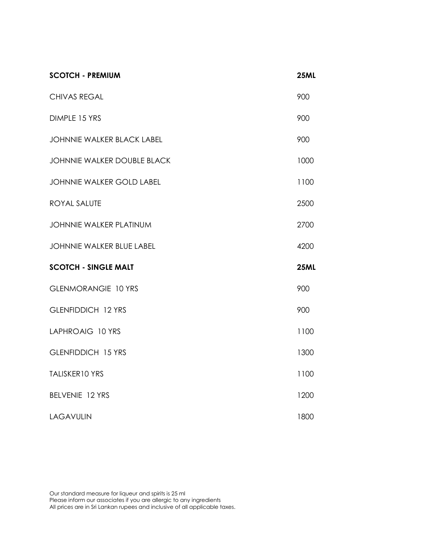| <b>SCOTCH - PREMIUM</b>            | <b>25ML</b> |
|------------------------------------|-------------|
| <b>CHIVAS REGAL</b>                | 900         |
| DIMPLE 15 YRS                      | 900         |
| <b>JOHNNIE WALKER BLACK LABEL</b>  | 900         |
| <b>JOHNNIE WALKER DOUBLE BLACK</b> | 1000        |
| <b>JOHNNIE WALKER GOLD LABEL</b>   | 1100        |
| ROYAL SALUTE                       | 2500        |
| <b>JOHNNIE WALKER PLATINUM</b>     | 2700        |
| JOHNNIE WALKER BLUE LABEL          | 4200        |
| <b>SCOTCH - SINGLE MALT</b>        | <b>25ML</b> |
| <b>GLENMORANGIE 10 YRS</b>         | 900         |
| <b>GLENFIDDICH 12 YRS</b>          | 900         |
| LAPHROAIG 10 YRS                   | 1100        |
| <b>GLENFIDDICH 15 YRS</b>          | 1300        |
| TALISKER10 YRS                     | 1100        |
| BELVENIE 12 YRS                    | 1200        |
| <b>LAGAVULIN</b>                   | 1800        |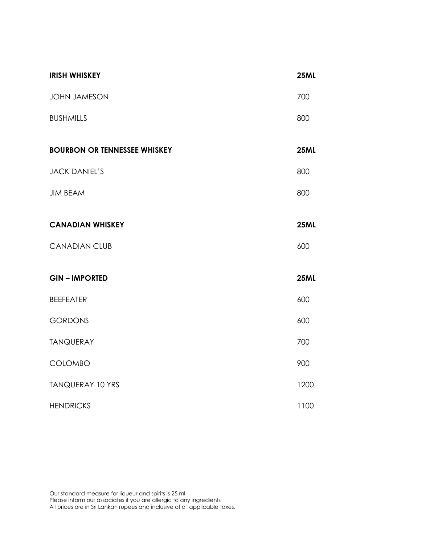| <b>IRISH WHISKEY</b>                | <b>25ML</b> |
|-------------------------------------|-------------|
| <b>JOHN JAMESON</b>                 | 700         |
| <b>BUSHMILLS</b>                    | 800         |
| <b>BOURBON OR TENNESSEE WHISKEY</b> | <b>25ML</b> |
| <b>JACK DANIEL'S</b>                | 800         |
| <b>JIM BEAM</b>                     | 800         |
| <b>CANADIAN WHISKEY</b>             | <b>25ML</b> |
| <b>CANADIAN CLUB</b>                | 600         |
| <b>GIN-IMPORTED</b>                 | <b>25ML</b> |
| <b>BEEFEATER</b>                    | 600         |
| <b>GORDONS</b>                      | 600         |
| <b>TANQUERAY</b>                    | 700         |
| COLOMBO                             | 900         |
| <b>TANQUERAY 10 YRS</b>             | 1200        |
| <b>HENDRICKS</b>                    | 1100        |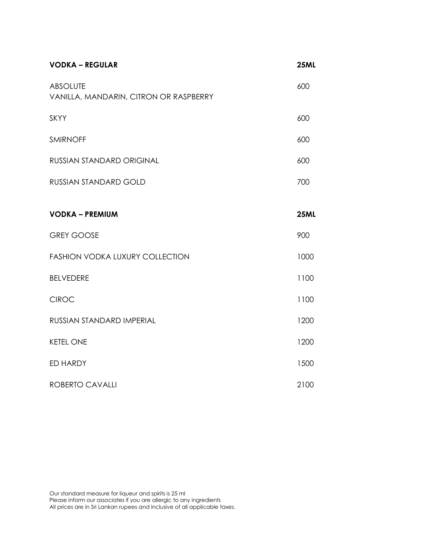| <b>VODKA - REGULAR</b>                                    | <b>25ML</b> |
|-----------------------------------------------------------|-------------|
| <b>ABSOLUTE</b><br>VANILLA, MANDARIN, CITRON OR RASPBERRY | 600         |
| <b>SKYY</b>                                               | 600         |
| <b>SMIRNOFF</b>                                           | 600         |
| RUSSIAN STANDARD ORIGINAL                                 | 600         |
| <b>RUSSIAN STANDARD GOLD</b>                              | 700         |
| <b>VODKA - PREMIUM</b>                                    | <b>25ML</b> |
| <b>GREY GOOSE</b>                                         | 900         |
| <b>FASHION VODKA LUXURY COLLECTION</b>                    | 1000        |
| <b>BELVEDERE</b>                                          | 1100        |
| <b>CIROC</b>                                              | 1100        |
| RUSSIAN STANDARD IMPERIAL                                 | 1200        |
| <b>KETEL ONE</b>                                          | 1200        |
| ED HARDY                                                  | 1500        |
| <b>ROBERTO CAVALLI</b>                                    | 2100        |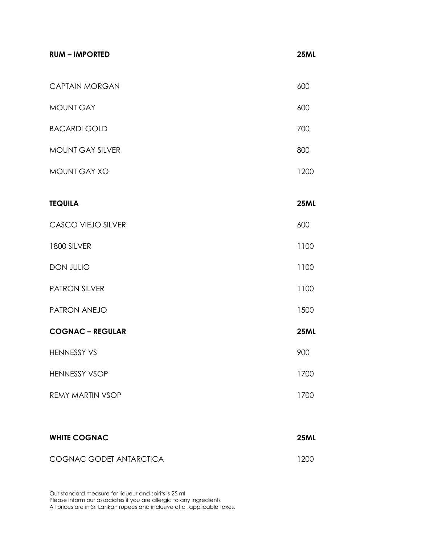| <b>RUM - IMPORTED</b>     | <b>25ML</b> |
|---------------------------|-------------|
| <b>CAPTAIN MORGAN</b>     | 600         |
| <b>MOUNT GAY</b>          | 600         |
| <b>BACARDI GOLD</b>       | 700         |
| MOUNT GAY SILVER          | 800         |
| MOUNT GAY XO              | 1200        |
| <b>TEQUILA</b>            | <b>25ML</b> |
| <b>CASCO VIEJO SILVER</b> | 600         |
| 1800 SILVER               | 1100        |
| DON JULIO                 | 1100        |
| <b>PATRON SILVER</b>      | 1100        |
| PATRON ANEJO              | 1500        |
| <b>COGNAC - REGULAR</b>   | <b>25ML</b> |
| HENNESSY VS               | 900         |
| <b>HENNESSY VSOP</b>      | 1700        |
| <b>REMY MARTIN VSOP</b>   | 1700        |
|                           |             |
| <b>WHITE COGNAC</b>       | <b>25ML</b> |

COGNAC GODET ANTARCTICA 1200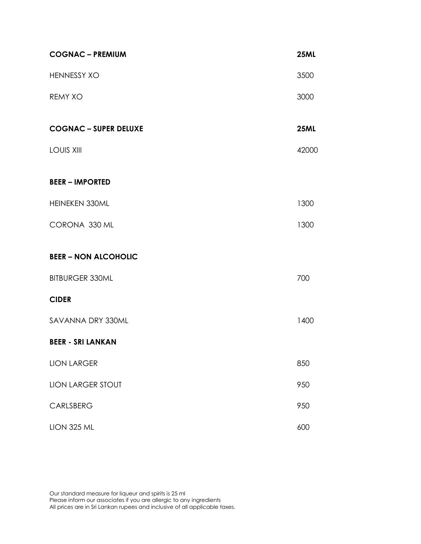| <b>COGNAC - PREMIUM</b>      | <b>25ML</b> |
|------------------------------|-------------|
| <b>HENNESSY XO</b>           | 3500        |
| <b>REMY XO</b>               | 3000        |
| <b>COGNAC - SUPER DELUXE</b> | <b>25ML</b> |
| <b>LOUIS XIII</b>            | 42000       |
| <b>BEER - IMPORTED</b>       |             |
| HEINEKEN 330ML               | 1300        |
| CORONA 330 ML                | 1300        |
| <b>BEER - NON ALCOHOLIC</b>  |             |
| <b>BITBURGER 330ML</b>       | 700         |
| <b>CIDER</b>                 |             |
| SAVANNA DRY 330ML            | 1400        |
| <b>BEER - SRI LANKAN</b>     |             |
| <b>LION LARGER</b>           | 850         |
| <b>LION LARGER STOUT</b>     | 950         |
| CARLSBERG                    | 950         |
| <b>LION 325 ML</b>           | 600         |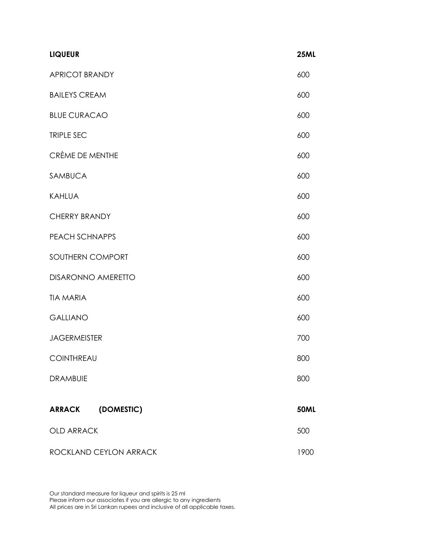| <b>LIQUEUR</b>        |                           | <b>25ML</b> |
|-----------------------|---------------------------|-------------|
| <b>APRICOT BRANDY</b> |                           | 600         |
| <b>BAILEYS CREAM</b>  |                           | 600         |
| <b>BLUE CURACAO</b>   |                           | 600         |
| TRIPLE SEC            |                           | 600         |
| CRÈME DE MENTHE       |                           | 600         |
| <b>SAMBUCA</b>        |                           | 600         |
| <b>KAHLUA</b>         |                           | 600         |
| <b>CHERRY BRANDY</b>  |                           | 600         |
| PEACH SCHNAPPS        |                           | 600         |
| SOUTHERN COMPORT      |                           | 600         |
|                       | <b>DISARONNO AMERETTO</b> | 600         |
| <b>TIA MARIA</b>      |                           | 600         |
| <b>GALLIANO</b>       |                           | 600         |
| <b>JAGERMEISTER</b>   |                           | 700         |
| COINTHREAU            |                           | 800         |
| <b>DRAMBUIE</b>       |                           | 800         |
| <b>ARRACK</b>         | (DOMESTIC)                | <b>50ML</b> |
| <b>OLD ARRACK</b>     |                           | 500         |
|                       | ROCKLAND CEYLON ARRACK    | 1900        |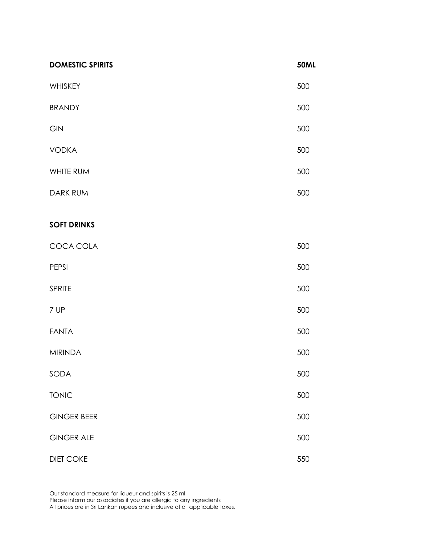| <b>DOMESTIC SPIRITS</b> | <b>50ML</b> |
|-------------------------|-------------|
| WHISKEY                 | 500         |
| <b>BRANDY</b>           | 500         |
| GIN                     | 500         |
| <b>VODKA</b>            | 500         |
| WHITE RUM               | 500         |
| <b>DARK RUM</b>         | 500         |
| <b>SOFT DRINKS</b>      |             |
| COCA COLA               | 500         |
| PEPSI                   | 500         |
| <b>SPRITE</b>           | 500         |
| 7 UP                    | 500         |
| <b>FANTA</b>            | 500         |
| <b>MIRINDA</b>          | 500         |
| SODA                    | 500         |
| <b>TONIC</b>            | 500         |
| <b>GINGER BEER</b>      | 500         |
| <b>GINGER ALE</b>       | 500         |
| <b>DIET COKE</b>        | 550         |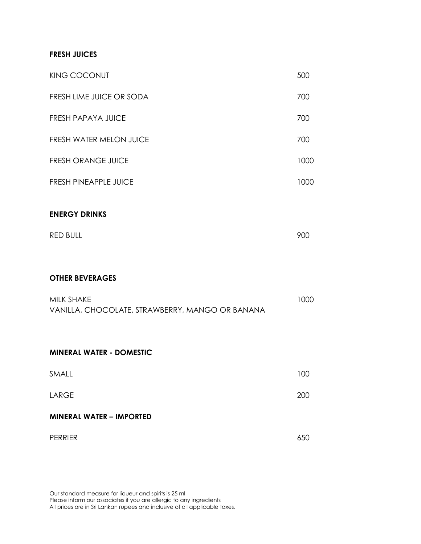#### **FRESH JUICES**

| <b>KING COCONUT</b>            | 500  |
|--------------------------------|------|
| FRESH LIME JUICE OR SODA       | 700  |
| <b>FRESH PAPAYA JUICE</b>      | 700  |
| <b>FRESH WATER MELON JUICE</b> | 700  |
| <b>FRESH ORANGE JUICE</b>      | 1000 |
| <b>FRESH PINEAPPLE JUICE</b>   | 1000 |
| <b>ENERGY DRINKS</b>           |      |
| <b>RED BULL</b>                | 900  |

#### **OTHER BEVERAGES**

| MILK SHAKE                                      | 1000 |
|-------------------------------------------------|------|
| VANILLA, CHOCOLATE, STRAWBERRY, MANGO OR BANANA |      |

#### **MINERAL WATER - DOMESTIC**

| <b>MINERAL WATER - IMPORTED</b> |     |
|---------------------------------|-----|
| LARGE                           | 200 |
| SMALL                           | 100 |

| <b>PERRIER</b> | 65C |
|----------------|-----|
|                |     |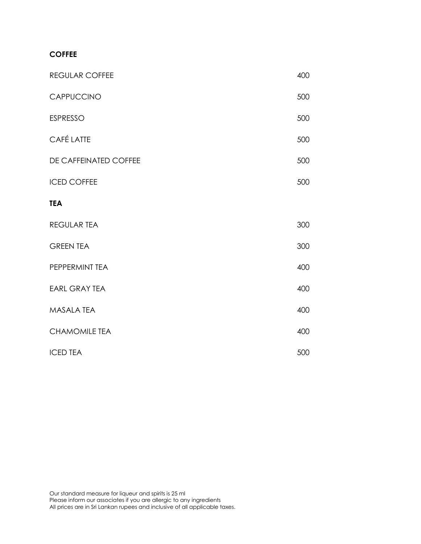### **COFFEE**

| <b>REGULAR COFFEE</b> | 400 |
|-----------------------|-----|
| CAPPUCCINO            | 500 |
| <b>ESPRESSO</b>       | 500 |
| <b>CAFÉ LATTE</b>     | 500 |
| DE CAFFEINATED COFFEE | 500 |
| <b>ICED COFFEE</b>    | 500 |
| <b>TEA</b>            |     |
| <b>REGULAR TEA</b>    | 300 |
| <b>GREEN TEA</b>      | 300 |
| PEPPERMINT TEA        | 400 |
| <b>EARL GRAY TEA</b>  | 400 |
| <b>MASALA TEA</b>     | 400 |
| <b>CHAMOMILE TEA</b>  | 400 |
| <b>ICED TEA</b>       | 500 |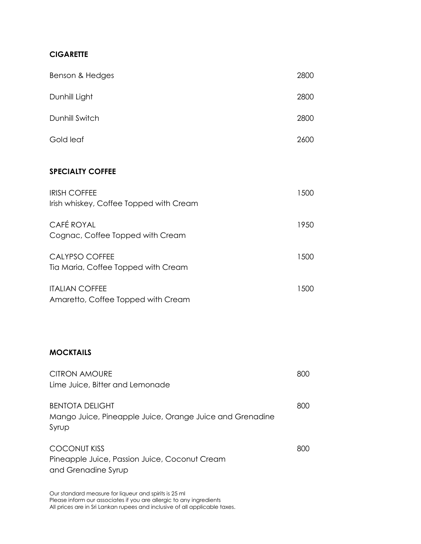# **CIGARETTE**

| Benson & Hedges                                                                             | 2800 |
|---------------------------------------------------------------------------------------------|------|
| Dunhill Light                                                                               | 2800 |
| Dunhill Switch                                                                              | 2800 |
| Gold leaf                                                                                   | 2600 |
| <b>SPECIALTY COFFEE</b>                                                                     |      |
| <b>IRISH COFFEE</b><br>Irish whiskey, Coffee Topped with Cream                              | 1500 |
| <b>CAFÉ ROYAL</b><br>Cognac, Coffee Topped with Cream                                       | 1950 |
| <b>CALYPSO COFFEE</b><br>Tia Maria, Coffee Topped with Cream                                | 1500 |
| <b>ITALIAN COFFEE</b><br>Amaretto, Coffee Topped with Cream                                 | 1500 |
| <b>MOCKTAILS</b>                                                                            |      |
| <b>CITRON AMOURE</b><br>Lime Juice, Bitter and Lemonade                                     | 800  |
| <b>BENTOTA DELIGHT</b><br>Mango Juice, Pineapple Juice, Orange Juice and Grenadine<br>Syrup | 800  |
| <b>COCONUT KISS</b><br>Pineapple Juice, Passion Juice, Coconut Cream<br>and Grenadine Syrup | 800  |
|                                                                                             |      |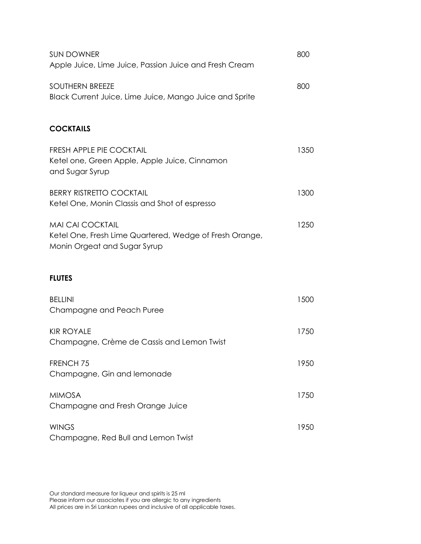| <b>SUN DOWNER</b>                                                                                                  | 800  |
|--------------------------------------------------------------------------------------------------------------------|------|
| Apple Juice, Lime Juice, Passion Juice and Fresh Cream                                                             |      |
| <b>SOUTHERN BREEZE</b><br>Black Current Juice, Lime Juice, Mango Juice and Sprite                                  | 800  |
| <b>COCKTAILS</b>                                                                                                   |      |
| <b>FRESH APPLE PIE COCKTAIL</b><br>Ketel one, Green Apple, Apple Juice, Cinnamon<br>and Sugar Syrup                | 1350 |
| <b>BERRY RISTRETTO COCKTAIL</b><br>Ketel One, Monin Classis and Shot of espresso                                   | 1300 |
| <b>MAI CAI COCKTAIL</b><br>Ketel One, Fresh Lime Quartered, Wedge of Fresh Orange,<br>Monin Orgeat and Sugar Syrup | 1250 |
| <b>FLUTES</b>                                                                                                      |      |
| <b>BELLINI</b><br>Champagne and Peach Puree                                                                        | 1500 |
| <b>KIR ROYALE</b><br>Champagne, Crème de Cassis and Lemon Twist                                                    | 1750 |
| FRENCH <sub>75</sub><br>Champagne, Gin and lemonade                                                                | 1950 |
| <b>MIMOSA</b><br>Champagne and Fresh Orange Juice                                                                  | 1750 |
| <b>WINGS</b><br>Champagne, Red Bull and Lemon Twist                                                                | 1950 |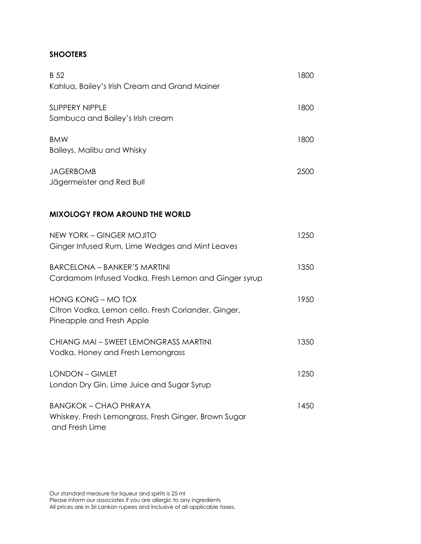## **SHOOTERS**

| <b>B</b> 52<br>Kahlua, Bailey's Irish Cream and Grand Mainer                                           | 1800 |
|--------------------------------------------------------------------------------------------------------|------|
| <b>SLIPPERY NIPPLE</b><br>Sambuca and Bailey's Irish cream                                             | 1800 |
| <b>BMW</b><br>Baileys, Malibu and Whisky                                                               | 1800 |
| <b>JAGERBOMB</b><br>Jägermeister and Red Bull                                                          | 2500 |
| <b>MIXOLOGY FROM AROUND THE WORLD</b>                                                                  |      |
| <b>NEW YORK - GINGER MOJITO</b><br>Ginger Infused Rum, Lime Wedges and Mint Leaves                     | 1250 |
| <b>BARCELONA - BANKER'S MARTINI</b><br>Cardamom Infused Vodka, Fresh Lemon and Ginger syrup            | 1350 |
| HONG KONG - MO TOX<br>Citron Vodka, Lemon cello, Fresh Coriander, Ginger,<br>Pineapple and Fresh Apple | 1950 |
| CHIANG MAI - SWEET LEMONGRASS MARTINI<br>Vodka, Honey and Fresh Lemongrass                             | 1350 |
| <b>LONDON - GIMLET</b><br>London Dry Gin, Lime Juice and Sugar Syrup                                   | 1250 |
| <b>BANGKOK - CHAO PHRAYA</b><br>Whiskey, Fresh Lemongrass, Fresh Ginger, Brown Sugar<br>and Fresh Lime | 1450 |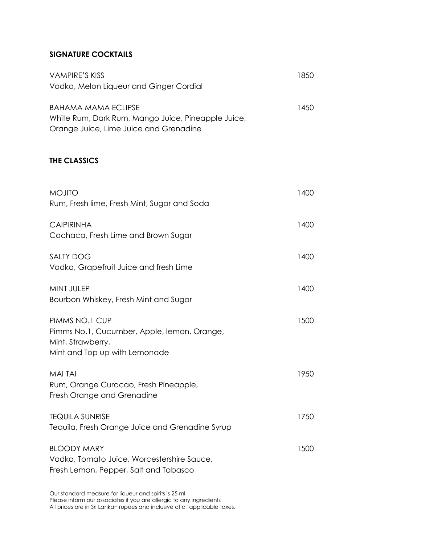# **SIGNATURE COCKTAILS**

| <b>VAMPIRE'S KISS</b><br>Vodka, Melon Liqueur and Ginger Cordial                                                           | 1850 |
|----------------------------------------------------------------------------------------------------------------------------|------|
| <b>BAHAMA MAMA ECLIPSE</b><br>White Rum, Dark Rum, Mango Juice, Pineapple Juice,<br>Orange Juice, Lime Juice and Grenadine | 1450 |
| THE CLASSICS                                                                                                               |      |
| <b>MOJITO</b><br>Rum, Fresh lime, Fresh Mint, Sugar and Soda                                                               | 1400 |
| <b>CAIPIRINHA</b><br>Cachaca, Fresh Lime and Brown Sugar                                                                   | 1400 |
| <b>SALTY DOG</b><br>Vodka, Grapefruit Juice and fresh Lime                                                                 | 1400 |
| MINT JULEP<br>Bourbon Whiskey, Fresh Mint and Sugar                                                                        | 1400 |
| PIMMS NO.1 CUP<br>Pimms No.1, Cucumber, Apple, lemon, Orange,<br>Mint, Strawberry,<br>Mint and Top up with Lemonade        | 1500 |
| MAI TAI<br>Rum, Orange Curacao, Fresh Pineapple,<br>Fresh Orange and Grenadine                                             | 1950 |
| <b>TEQUILA SUNRISE</b><br>Tequila, Fresh Orange Juice and Grenadine Syrup                                                  | 1750 |
| <b>BLOODY MARY</b><br>Vodka, Tomato Juice, Worcestershire Sauce,<br>Fresh Lemon, Pepper, Salt and Tabasco                  | 1500 |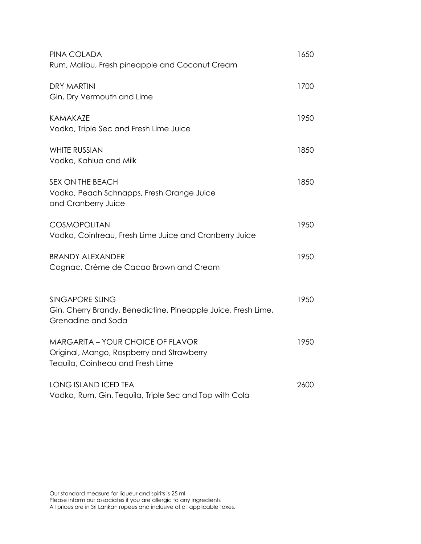| PINA COLADA<br>Rum, Malibu, Fresh pineapple and Coconut Cream                                                              | 1650 |
|----------------------------------------------------------------------------------------------------------------------------|------|
| <b>DRY MARTINI</b><br>Gin, Dry Vermouth and Lime                                                                           | 1700 |
| KAMAKAZE<br>Vodka, Triple Sec and Fresh Lime Juice                                                                         | 1950 |
| <b>WHITE RUSSIAN</b><br>Vodka, Kahlua and Milk                                                                             | 1850 |
| <b>SEX ON THE BEACH</b><br>Vodka, Peach Schnapps, Fresh Orange Juice<br>and Cranberry Juice                                | 1850 |
| <b>COSMOPOLITAN</b><br>Vodka, Cointreau, Fresh Lime Juice and Cranberry Juice                                              | 1950 |
| <b>BRANDY ALEXANDER</b><br>Cognac, Crème de Cacao Brown and Cream                                                          | 1950 |
| <b>SINGAPORE SLING</b><br>Gin, Cherry Brandy, Benedictine, Pineapple Juice, Fresh Lime,<br>Grenadine and Soda              | 1950 |
| <b>MARGARITA - YOUR CHOICE OF FLAVOR</b><br>Original, Mango, Raspberry and Strawberry<br>Tequila, Cointreau and Fresh Lime | 1950 |
| <b>LONG ISLAND ICED TEA</b><br>Vodka, Rum, Gin, Tequila, Triple Sec and Top with Cola                                      | 2600 |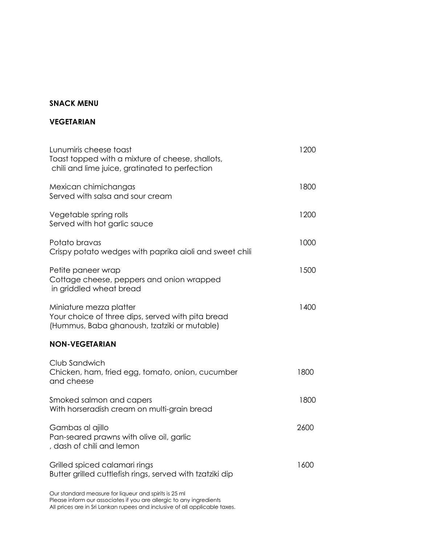## **SNACK MENU**

#### **VEGETARIAN**

| Lunumiris cheese toast<br>Toast topped with a mixture of cheese, shallots,<br>chili and lime juice, gratinated to perfection | 1200 |
|------------------------------------------------------------------------------------------------------------------------------|------|
| Mexican chimichangas<br>Served with salsa and sour cream                                                                     | 1800 |
| Vegetable spring rolls<br>Served with hot garlic sauce                                                                       | 1200 |
| Potato bravas<br>Crispy potato wedges with paprika aioli and sweet chili                                                     | 1000 |
| Petite paneer wrap<br>Cottage cheese, peppers and onion wrapped<br>in griddled wheat bread                                   | 1500 |
| Miniature mezza platter<br>Your choice of three dips, served with pita bread<br>(Hummus, Baba ghanoush, tzatziki or mutable) | 1400 |
| <b>NON-VEGETARIAN</b>                                                                                                        |      |
| Club Sandwich<br>Chicken, ham, fried egg, tomato, onion, cucumber<br>and cheese                                              | 1800 |
| Smoked salmon and capers<br>With horseradish cream on multi-grain bread                                                      | 1800 |
| Gambas al ajillo<br>Pan-seared prawns with olive oil, garlic<br>, dash of chili and lemon                                    | 2600 |
| Grilled spiced calamari rings<br>Butter grilled cuttlefish rings, served with tzatziki dip                                   | 1600 |